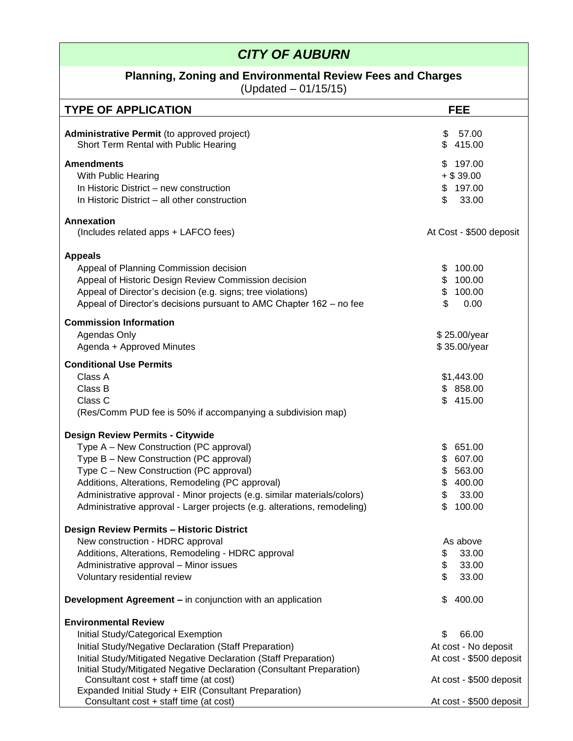## *CITY OF AUBURN*

#### **Planning, Zoning and Environmental Review Fees and Charges**

(Updated – 01/15/15)

| $(0)$ (Upualcu – U I I I U I U                                                                                                                                                                                                                                                                                                                                                       |                                                                                             |  |  |
|--------------------------------------------------------------------------------------------------------------------------------------------------------------------------------------------------------------------------------------------------------------------------------------------------------------------------------------------------------------------------------------|---------------------------------------------------------------------------------------------|--|--|
| <b>TYPE OF APPLICATION</b>                                                                                                                                                                                                                                                                                                                                                           | <b>FEE</b>                                                                                  |  |  |
| Administrative Permit (to approved project)<br>Short Term Rental with Public Hearing                                                                                                                                                                                                                                                                                                 | \$<br>57.00<br>\$<br>415.00                                                                 |  |  |
| <b>Amendments</b><br>With Public Hearing<br>In Historic District – new construction<br>In Historic District - all other construction                                                                                                                                                                                                                                                 | \$197.00<br>$+$ \$ 39.00<br>\$197.00<br>\$<br>33.00                                         |  |  |
| <b>Annexation</b><br>(Includes related apps + LAFCO fees)                                                                                                                                                                                                                                                                                                                            | At Cost - \$500 deposit                                                                     |  |  |
| <b>Appeals</b><br>Appeal of Planning Commission decision<br>Appeal of Historic Design Review Commission decision<br>Appeal of Director's decision (e.g. signs; tree violations)<br>Appeal of Director's decisions pursuant to AMC Chapter 162 - no fee                                                                                                                               | 100.00<br>\$<br>\$<br>100.00<br>\$<br>100.00<br>\$<br>0.00                                  |  |  |
| <b>Commission Information</b><br>Agendas Only<br>Agenda + Approved Minutes                                                                                                                                                                                                                                                                                                           | \$25.00/year<br>\$35.00/year                                                                |  |  |
| <b>Conditional Use Permits</b><br>Class A<br>Class B<br>Class C<br>(Res/Comm PUD fee is 50% if accompanying a subdivision map)                                                                                                                                                                                                                                                       | \$1,443.00<br>\$858.00<br>\$415.00                                                          |  |  |
| <b>Design Review Permits - Citywide</b><br>Type A - New Construction (PC approval)<br>Type B - New Construction (PC approval)<br>Type C - New Construction (PC approval)<br>Additions, Alterations, Remodeling (PC approval)<br>Administrative approval - Minor projects (e.g. similar materials/colors)<br>Administrative approval - Larger projects (e.g. alterations, remodeling) | 651.00<br>S.<br>\$<br>607.00<br>\$<br>563.00<br>\$<br>400.00<br>\$<br>33.00<br>\$<br>100.00 |  |  |
| <b>Design Review Permits - Historic District</b><br>New construction - HDRC approval<br>Additions, Alterations, Remodeling - HDRC approval<br>Administrative approval - Minor issues<br>Voluntary residential review                                                                                                                                                                 | As above<br>33.00<br>\$<br>\$<br>33.00<br>\$<br>33.00                                       |  |  |
| <b>Development Agreement – in conjunction with an application</b>                                                                                                                                                                                                                                                                                                                    | \$<br>400.00                                                                                |  |  |
| <b>Environmental Review</b><br>Initial Study/Categorical Exemption<br>Initial Study/Negative Declaration (Staff Preparation)<br>Initial Study/Mitigated Negative Declaration (Staff Preparation)<br>Initial Study/Mitigated Negative Declaration (Consultant Preparation)<br>Consultant cost + staff time (at cost)                                                                  | \$<br>66.00<br>At cost - No deposit<br>At cost - \$500 deposit                              |  |  |
| Expanded Initial Study + EIR (Consultant Preparation)<br>Consultant cost + staff time (at cost)                                                                                                                                                                                                                                                                                      | At cost - \$500 deposit<br>At cost - \$500 deposit                                          |  |  |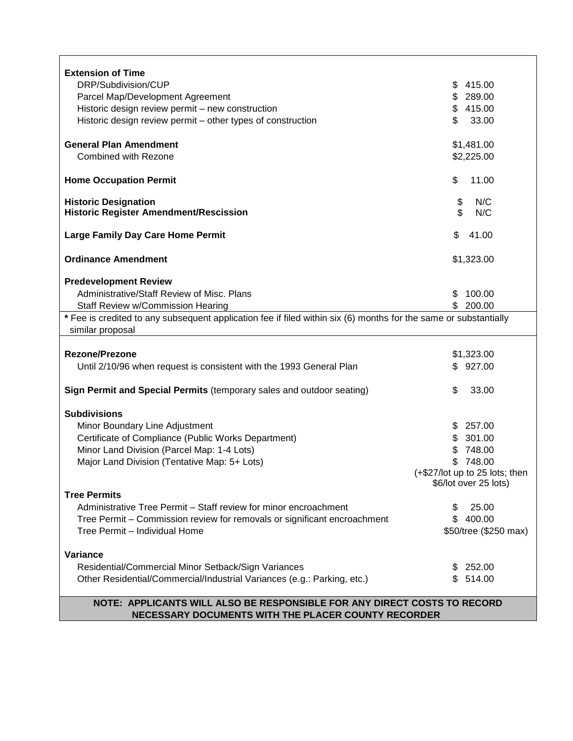| <b>Extension of Time</b>                                                                                         |                                    |  |  |
|------------------------------------------------------------------------------------------------------------------|------------------------------------|--|--|
| DRP/Subdivision/CUP                                                                                              | 415.00<br>\$                       |  |  |
| Parcel Map/Development Agreement                                                                                 | 289.00<br>\$                       |  |  |
| Historic design review permit - new construction                                                                 | 415.00<br>\$                       |  |  |
| Historic design review permit - other types of construction                                                      | \$<br>33.00                        |  |  |
|                                                                                                                  |                                    |  |  |
| <b>General Plan Amendment</b>                                                                                    | \$1,481.00                         |  |  |
| Combined with Rezone                                                                                             | \$2,225.00                         |  |  |
|                                                                                                                  |                                    |  |  |
| <b>Home Occupation Permit</b>                                                                                    | \$<br>11.00                        |  |  |
|                                                                                                                  |                                    |  |  |
| <b>Historic Designation</b>                                                                                      | \$<br>N/C<br>$\mathfrak{L}$<br>N/C |  |  |
| <b>Historic Register Amendment/Rescission</b>                                                                    |                                    |  |  |
| Large Family Day Care Home Permit                                                                                | \$<br>41.00                        |  |  |
|                                                                                                                  |                                    |  |  |
| <b>Ordinance Amendment</b>                                                                                       | \$1,323.00                         |  |  |
|                                                                                                                  |                                    |  |  |
| <b>Predevelopment Review</b>                                                                                     |                                    |  |  |
| Administrative/Staff Review of Misc. Plans                                                                       | 100.00<br>\$.                      |  |  |
| Staff Review w/Commission Hearing                                                                                | 200.00<br>\$                       |  |  |
| * Fee is credited to any subsequent application fee if filed within six (6) months for the same or substantially |                                    |  |  |
| similar proposal                                                                                                 |                                    |  |  |
|                                                                                                                  |                                    |  |  |
| <b>Rezone/Prezone</b>                                                                                            | \$1,323.00                         |  |  |
| Until 2/10/96 when request is consistent with the 1993 General Plan                                              | \$927.00                           |  |  |
| Sign Permit and Special Permits (temporary sales and outdoor seating)                                            | \$<br>33.00                        |  |  |
|                                                                                                                  |                                    |  |  |
| <b>Subdivisions</b>                                                                                              |                                    |  |  |
| Minor Boundary Line Adjustment                                                                                   | 257.00<br>S                        |  |  |
| Certificate of Compliance (Public Works Department)                                                              | 301.00<br>\$                       |  |  |
| Minor Land Division (Parcel Map: 1-4 Lots)                                                                       | 748.00                             |  |  |
| Major Land Division (Tentative Map: 5+ Lots)                                                                     | 748.00<br>S.                       |  |  |
|                                                                                                                  | (+\$27/lot up to 25 lots; then     |  |  |
|                                                                                                                  | \$6/lot over 25 lots)              |  |  |
| <b>Tree Permits</b>                                                                                              |                                    |  |  |
| Administrative Tree Permit - Staff review for minor encroachment                                                 | 25.00<br>\$.                       |  |  |
| Tree Permit - Commission review for removals or significant encroachment                                         | \$400.00                           |  |  |
| Tree Permit - Individual Home                                                                                    | \$50/tree (\$250 max)              |  |  |
|                                                                                                                  |                                    |  |  |
| Variance                                                                                                         |                                    |  |  |
| Residential/Commercial Minor Setback/Sign Variances                                                              | 252.00                             |  |  |
| Other Residential/Commercial/Industrial Variances (e.g.: Parking, etc.)                                          | \$514.00                           |  |  |
|                                                                                                                  |                                    |  |  |
| NOTE: APPLICANTS WILL ALSO BE RESPONSIBLE FOR ANY DIRECT COSTS TO RECORD                                         |                                    |  |  |
| NECESSARY DOCUMENTS WITH THE PLACER COUNTY RECORDER                                                              |                                    |  |  |

# **NECESSARY DOCUMENTS WITH THE PLACER COUNTY RECORDER**